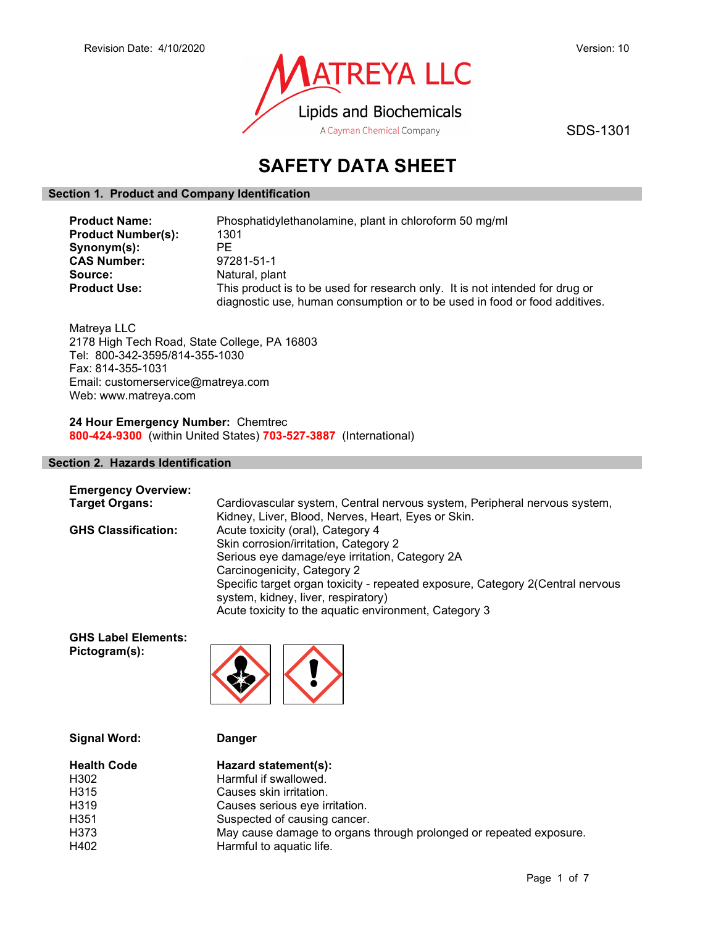

SDS-1301

# SAFETY DATA SHEET

# Section 1. Product and Company Identification

| <b>Product Name:</b>      | Phosphatidylethanolamine, plant in chloroform 50 mg/ml                                                                                                     |  |  |
|---------------------------|------------------------------------------------------------------------------------------------------------------------------------------------------------|--|--|
| <b>Product Number(s):</b> | 1301                                                                                                                                                       |  |  |
| Synonym(s):               | PE                                                                                                                                                         |  |  |
| <b>CAS Number:</b>        | 97281-51-1                                                                                                                                                 |  |  |
| Source:                   | Natural, plant                                                                                                                                             |  |  |
| <b>Product Use:</b>       | This product is to be used for research only. It is not intended for drug or<br>diagnostic use, human consumption or to be used in food or food additives. |  |  |

Matreya LLC 2178 High Tech Road, State College, PA 16803 Tel: 800-342-3595/814-355-1030 Fax: 814-355-1031 Email: customerservice@matreya.com Web: www.matreya.com

24 Hour Emergency Number: Chemtrec 800-424-9300 (within United States) 703-527-3887 (International)

# Section 2. Hazards Identification

| <b>Emergency Overview:</b> |                                                                                                                       |
|----------------------------|-----------------------------------------------------------------------------------------------------------------------|
| <b>Target Organs:</b>      | Cardiovascular system, Central nervous system, Peripheral nervous system,                                             |
|                            | Kidney, Liver, Blood, Nerves, Heart, Eyes or Skin.                                                                    |
| <b>GHS Classification:</b> | Acute toxicity (oral), Category 4                                                                                     |
|                            | Skin corrosion/irritation, Category 2                                                                                 |
|                            | Serious eye damage/eye irritation, Category 2A                                                                        |
|                            | Carcinogenicity, Category 2                                                                                           |
|                            | Specific target organ toxicity - repeated exposure, Category 2(Central nervous<br>system, kidney, liver, respiratory) |
|                            | Acute toxicity to the aquatic environment, Category 3                                                                 |

GHS Label Elements: Pictogram(s):



| <b>Signal Word:</b> | <b>Danger</b>                                                      |
|---------------------|--------------------------------------------------------------------|
| <b>Health Code</b>  | Hazard statement(s):                                               |
| H302                | Harmful if swallowed.                                              |
| H315                | Causes skin irritation.                                            |
| H319                | Causes serious eye irritation.                                     |
| H351                | Suspected of causing cancer.                                       |
| H373                | May cause damage to organs through prolonged or repeated exposure. |
| H402                | Harmful to aquatic life.                                           |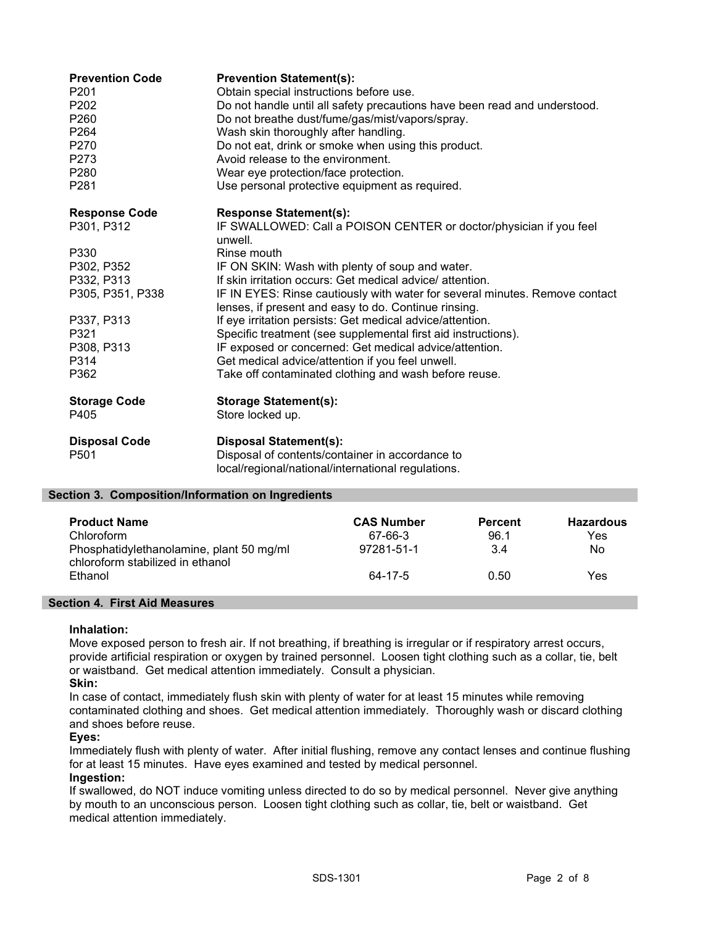| <b>Prevention Code</b><br>P <sub>201</sub><br>P <sub>202</sub><br>P <sub>260</sub><br>P <sub>264</sub><br>P270<br>P <sub>273</sub><br>P <sub>280</sub><br>P281 | <b>Prevention Statement(s):</b><br>Obtain special instructions before use.<br>Do not handle until all safety precautions have been read and understood.<br>Do not breathe dust/fume/gas/mist/vapors/spray.<br>Wash skin thoroughly after handling.<br>Do not eat, drink or smoke when using this product.<br>Avoid release to the environment.<br>Wear eye protection/face protection.<br>Use personal protective equipment as required. |
|----------------------------------------------------------------------------------------------------------------------------------------------------------------|------------------------------------------------------------------------------------------------------------------------------------------------------------------------------------------------------------------------------------------------------------------------------------------------------------------------------------------------------------------------------------------------------------------------------------------|
| <b>Response Code</b>                                                                                                                                           | <b>Response Statement(s):</b>                                                                                                                                                                                                                                                                                                                                                                                                            |
| P301, P312                                                                                                                                                     | IF SWALLOWED: Call a POISON CENTER or doctor/physician if you feel<br>unwell.                                                                                                                                                                                                                                                                                                                                                            |
| P330                                                                                                                                                           | Rinse mouth                                                                                                                                                                                                                                                                                                                                                                                                                              |
| P302, P352                                                                                                                                                     | IF ON SKIN: Wash with plenty of soup and water.                                                                                                                                                                                                                                                                                                                                                                                          |
| P332, P313                                                                                                                                                     | If skin irritation occurs: Get medical advice/ attention.                                                                                                                                                                                                                                                                                                                                                                                |
| P305, P351, P338                                                                                                                                               | IF IN EYES: Rinse cautiously with water for several minutes. Remove contact<br>lenses, if present and easy to do. Continue rinsing.                                                                                                                                                                                                                                                                                                      |
| P337, P313                                                                                                                                                     | If eye irritation persists: Get medical advice/attention.                                                                                                                                                                                                                                                                                                                                                                                |
| P321                                                                                                                                                           | Specific treatment (see supplemental first aid instructions).                                                                                                                                                                                                                                                                                                                                                                            |
| P308, P313                                                                                                                                                     | IF exposed or concerned: Get medical advice/attention.                                                                                                                                                                                                                                                                                                                                                                                   |
| P314                                                                                                                                                           | Get medical advice/attention if you feel unwell.                                                                                                                                                                                                                                                                                                                                                                                         |
| P362                                                                                                                                                           | Take off contaminated clothing and wash before reuse.                                                                                                                                                                                                                                                                                                                                                                                    |
| <b>Storage Code</b>                                                                                                                                            | <b>Storage Statement(s):</b>                                                                                                                                                                                                                                                                                                                                                                                                             |
| P405                                                                                                                                                           | Store locked up.                                                                                                                                                                                                                                                                                                                                                                                                                         |
| <b>Disposal Code</b>                                                                                                                                           | <b>Disposal Statement(s):</b>                                                                                                                                                                                                                                                                                                                                                                                                            |
| P <sub>501</sub>                                                                                                                                               | Disposal of contents/container in accordance to                                                                                                                                                                                                                                                                                                                                                                                          |
|                                                                                                                                                                | local/regional/national/international regulations.                                                                                                                                                                                                                                                                                                                                                                                       |

## Section 3. Composition/Information on Ingredients

| <b>Product Name</b><br>Chloroform<br>Phosphatidylethanolamine, plant 50 mg/ml<br>chloroform stabilized in ethanol | <b>CAS Number</b><br>67-66-3<br>97281-51-1 | <b>Percent</b><br>96.1<br>3.4 | <b>Hazardous</b><br>Yes<br>No. |
|-------------------------------------------------------------------------------------------------------------------|--------------------------------------------|-------------------------------|--------------------------------|
| Ethanol                                                                                                           | 64-17-5                                    | 0.50                          | Yes                            |

## Section 4. First Aid Measures

## Inhalation:

Move exposed person to fresh air. If not breathing, if breathing is irregular or if respiratory arrest occurs, provide artificial respiration or oxygen by trained personnel. Loosen tight clothing such as a collar, tie, belt or waistband. Get medical attention immediately. Consult a physician.

## Skin:

In case of contact, immediately flush skin with plenty of water for at least 15 minutes while removing contaminated clothing and shoes. Get medical attention immediately. Thoroughly wash or discard clothing and shoes before reuse.

## Eyes:

Immediately flush with plenty of water. After initial flushing, remove any contact lenses and continue flushing for at least 15 minutes. Have eyes examined and tested by medical personnel.

## Ingestion:

If swallowed, do NOT induce vomiting unless directed to do so by medical personnel. Never give anything by mouth to an unconscious person. Loosen tight clothing such as collar, tie, belt or waistband. Get medical attention immediately.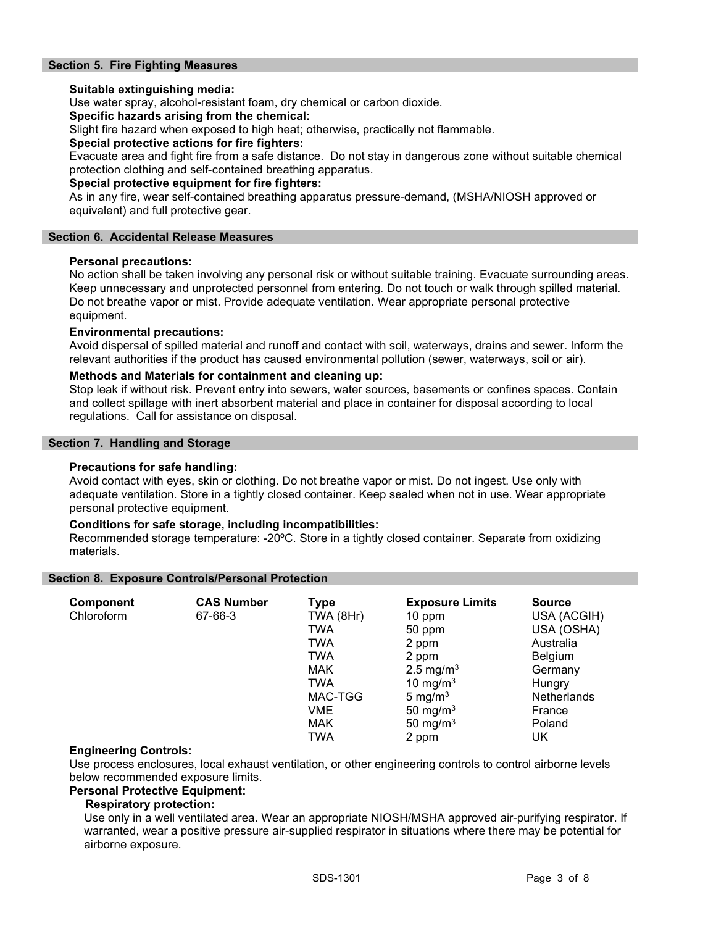# Section 5. Fire Fighting Measures

## Suitable extinguishing media:

Use water spray, alcohol-resistant foam, dry chemical or carbon dioxide.

## Specific hazards arising from the chemical:

Slight fire hazard when exposed to high heat; otherwise, practically not flammable.

#### Special protective actions for fire fighters:

Evacuate area and fight fire from a safe distance. Do not stay in dangerous zone without suitable chemical protection clothing and self-contained breathing apparatus.

#### Special protective equipment for fire fighters:

As in any fire, wear self-contained breathing apparatus pressure-demand, (MSHA/NIOSH approved or equivalent) and full protective gear.

#### Section 6. Accidental Release Measures

#### Personal precautions:

No action shall be taken involving any personal risk or without suitable training. Evacuate surrounding areas. Keep unnecessary and unprotected personnel from entering. Do not touch or walk through spilled material. Do not breathe vapor or mist. Provide adequate ventilation. Wear appropriate personal protective equipment.

#### Environmental precautions:

Avoid dispersal of spilled material and runoff and contact with soil, waterways, drains and sewer. Inform the relevant authorities if the product has caused environmental pollution (sewer, waterways, soil or air).

#### Methods and Materials for containment and cleaning up:

Stop leak if without risk. Prevent entry into sewers, water sources, basements or confines spaces. Contain and collect spillage with inert absorbent material and place in container for disposal according to local regulations. Call for assistance on disposal.

## Section 7. Handling and Storage

#### Precautions for safe handling:

Avoid contact with eyes, skin or clothing. Do not breathe vapor or mist. Do not ingest. Use only with adequate ventilation. Store in a tightly closed container. Keep sealed when not in use. Wear appropriate personal protective equipment.

#### Conditions for safe storage, including incompatibilities:

Recommended storage temperature: -20ºC. Store in a tightly closed container. Separate from oxidizing materials.

#### Section 8. Exposure Controls/Personal Protection

| <b>Component</b> | <b>CAS Number</b> | <b>Type</b> | <b>Exposure Limits</b> | <b>Source</b> |
|------------------|-------------------|-------------|------------------------|---------------|
| Chloroform       | 67-66-3           | TWA (8Hr)   | 10 ppm                 | USA (ACGIH)   |
|                  |                   | <b>TWA</b>  | 50 ppm                 | USA (OSHA)    |
|                  |                   | <b>TWA</b>  | 2 ppm                  | Australia     |
|                  |                   | <b>TWA</b>  | 2 ppm                  | Belgium       |
|                  |                   | <b>MAK</b>  | 2.5 mg/m <sup>3</sup>  | Germany       |
|                  |                   | <b>TWA</b>  | 10 mg/m $3$            | Hungry        |
|                  |                   | MAC-TGG     | 5 mg/m $3$             | Netherlands   |
|                  |                   | VME         | 50 mg/m $3$            | France        |
|                  |                   | <b>MAK</b>  | 50 mg/m $3$            | Poland        |
|                  |                   | TWA         | 2 ppm                  | UK            |

## Engineering Controls:

Use process enclosures, local exhaust ventilation, or other engineering controls to control airborne levels below recommended exposure limits.

#### Personal Protective Equipment:

## Respiratory protection:

Use only in a well ventilated area. Wear an appropriate NIOSH/MSHA approved air-purifying respirator. If warranted, wear a positive pressure air-supplied respirator in situations where there may be potential for airborne exposure.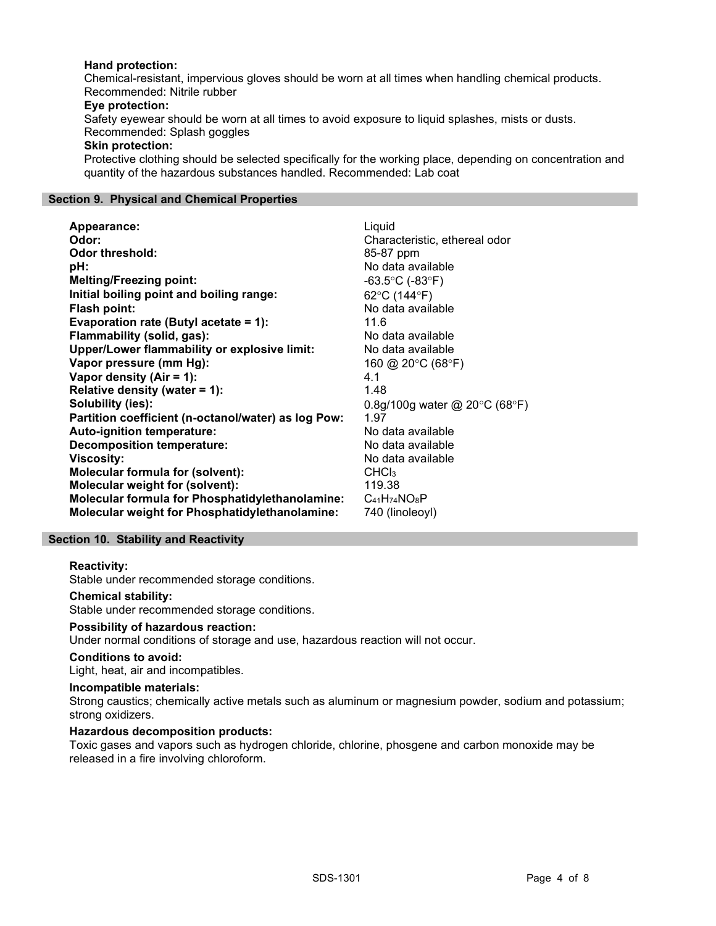# Hand protection:

Chemical-resistant, impervious gloves should be worn at all times when handling chemical products. Recommended: Nitrile rubber

#### Eye protection:

Safety eyewear should be worn at all times to avoid exposure to liquid splashes, mists or dusts. Recommended: Splash goggles

#### Skin protection:

Protective clothing should be selected specifically for the working place, depending on concentration and quantity of the hazardous substances handled. Recommended: Lab coat

## Section 9. Physical and Chemical Properties

| Appearance:                                           | Liquid                                            |
|-------------------------------------------------------|---------------------------------------------------|
| Odor:                                                 | Characteristic, ethereal odor                     |
| <b>Odor threshold:</b>                                | 85-87 ppm                                         |
| pH:                                                   | No data available                                 |
| <b>Melting/Freezing point:</b>                        | $-63.5^{\circ}$ C (-83 $^{\circ}$ F)              |
| Initial boiling point and boiling range:              | 62°C (144°F)                                      |
| Flash point:                                          | No data available                                 |
| Evaporation rate (Butyl acetate = 1):                 | 11.6                                              |
| Flammability (solid, gas):                            | No data available                                 |
| Upper/Lower flammability or explosive limit:          | No data available                                 |
| Vapor pressure (mm Hg):                               | 160 @ 20 $\degree$ C (68 $\degree$ F)             |
| Vapor density $(Air = 1)$ :                           | 4.1                                               |
| Relative density (water $= 1$ ):                      | 1.48                                              |
| Solubility (ies):                                     | 0.8g/100g water @ 20 $\degree$ C (68 $\degree$ F) |
| Partition coefficient (n-octanol/water) as log Pow:   | 1.97                                              |
| Auto-ignition temperature:                            | No data available                                 |
| <b>Decomposition temperature:</b>                     | No data available                                 |
| <b>Viscosity:</b>                                     | No data available                                 |
| <b>Molecular formula for (solvent):</b>               | CHCl <sub>3</sub>                                 |
| Molecular weight for (solvent):                       | 119.38                                            |
| Molecular formula for Phosphatidylethanolamine:       | $C_{41}H_{74}NO_8P$                               |
| <b>Molecular weight for Phosphatidylethanolamine:</b> | 740 (linoleoyl)                                   |

## Section 10. Stability and Reactivity

## Reactivity:

Stable under recommended storage conditions.

#### Chemical stability:

Stable under recommended storage conditions.

#### Possibility of hazardous reaction:

Under normal conditions of storage and use, hazardous reaction will not occur.

# Conditions to avoid:

Light, heat, air and incompatibles.

# Incompatible materials:

Strong caustics; chemically active metals such as aluminum or magnesium powder, sodium and potassium; strong oxidizers.

## Hazardous decomposition products:

Toxic gases and vapors such as hydrogen chloride, chlorine, phosgene and carbon monoxide may be released in a fire involving chloroform.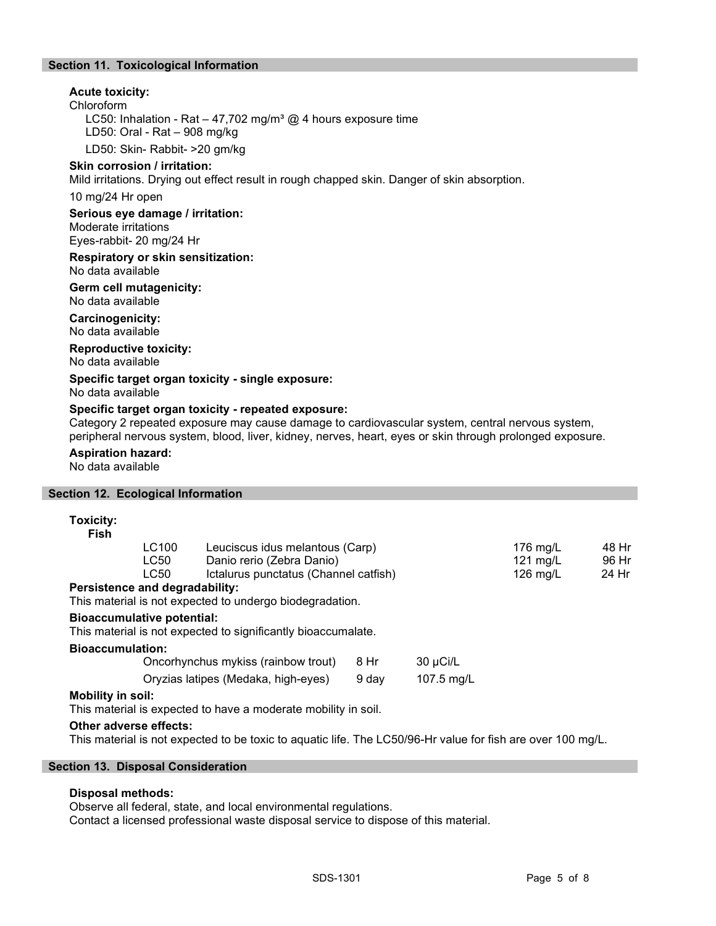# Section 11. Toxicological Information

# Acute toxicity:

Chloroform

LC50: Inhalation - Rat – 47,702 mg/m<sup>3</sup> @ 4 hours exposure time LD50: Oral - Rat – 908 mg/kg

LD50: Skin- Rabbit- >20 gm/kg

# Skin corrosion / irritation:

Mild irritations. Drying out effect result in rough chapped skin. Danger of skin absorption.

10 mg/24 Hr open

Serious eye damage / irritation:

Moderate irritations Eyes-rabbit- 20 mg/24 Hr

Respiratory or skin sensitization: No data available

## Germ cell mutagenicity: No data available

Carcinogenicity:

No data available

Reproductive toxicity: No data available

Specific target organ toxicity - single exposure:

No data available

## Specific target organ toxicity - repeated exposure:

Category 2 repeated exposure may cause damage to cardiovascular system, central nervous system, peripheral nervous system, blood, liver, kidney, nerves, heart, eyes or skin through prolonged exposure.

#### Aspiration hazard:

No data available

## Section 12. Ecological Information

# Toxicity:

| Fish |                                |                                       |                    |       |
|------|--------------------------------|---------------------------------------|--------------------|-------|
|      | LC100                          | Leuciscus idus melantous (Carp)       | 176 mg/L           | 48 Hr |
|      | LC50                           | Danio rerio (Zebra Danio)             | 121 $mg/L$         | 96 Hr |
|      | LC50                           | Ictalurus punctatus (Channel catfish) | $126 \text{ ma/L}$ | 24 Hr |
|      | Persistence and degradability: |                                       |                    |       |

This material is not expected to undergo biodegradation.

# Bioaccumulative potential:

This material is not expected to significantly bioaccumalate.

#### Bioaccumulation:

| Oncorhynchus mykiss (rainbow trout) | 8 Hr  | 30 µCi/L   |
|-------------------------------------|-------|------------|
| Oryzias latipes (Medaka, high-eyes) | 9 dav | 107.5 mg/L |

## Mobility in soil:

This material is expected to have a moderate mobility in soil.

## Other adverse effects:

This material is not expected to be toxic to aquatic life. The LC50/96-Hr value for fish are over 100 mg/L.

#### Section 13. Disposal Consideration

#### Disposal methods:

Observe all federal, state, and local environmental regulations.

Contact a licensed professional waste disposal service to dispose of this material.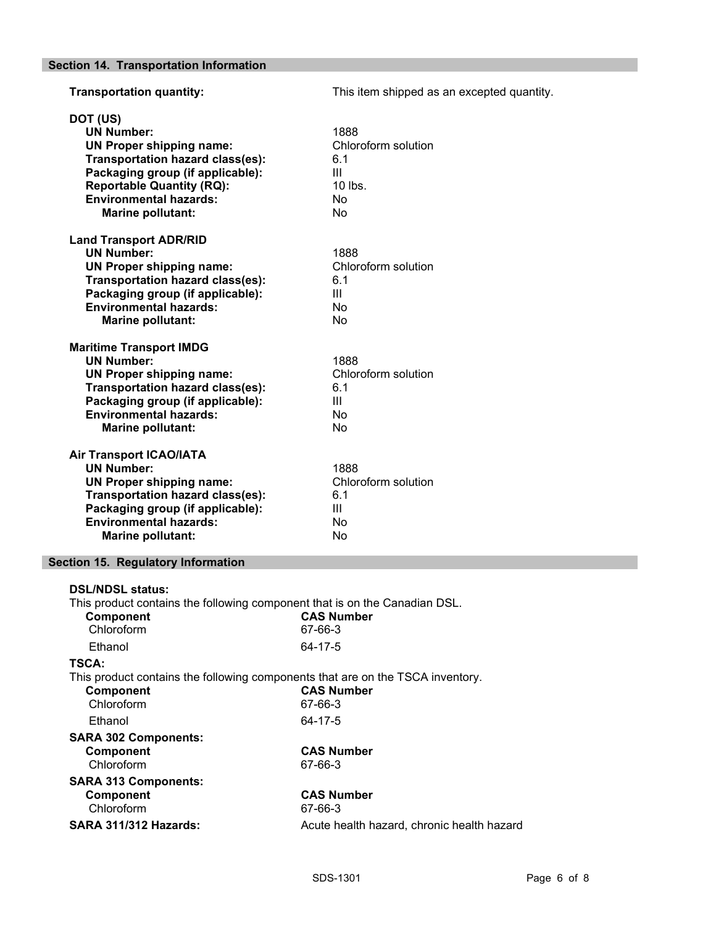**Transportation quantity:** This item shipped as an excepted quantity. DOT (US) UN Number: 1888 UN Proper shipping name: Chloroform solution Transportation hazard class(es): 6.1 Packaging group (if applicable): III Reportable Quantity (RQ): 10 lbs.<br>
Environmental hazards: 10 No **Environmental hazards:** Marine pollutant: No Land Transport ADR/RID UN Number: 1888 UN Proper shipping name: Chloroform solution Transportation hazard class(es): 6.1 Packaging group (if applicable): III Environmental hazards: No Marine pollutant: No Maritime Transport IMDG UN Number: 1888 UN Proper shipping name: Chloroform solution Transportation hazard class(es): 6.1 Packaging group (if applicable): III Environmental hazards: No Marine pollutant: No Air Transport ICAO/IATA UN Number: 1888<br>
UN Proper shipping name: Chloroform solution UN Proper shipping name: Transportation hazard class(es): 6.1 Packaging group (if applicable): III Environmental hazards: No Marine pollutant: No

## Section 15. Regulatory Information

| <b>DSL/NDSL status:</b><br>This product contains the following component that is on the Canadian DSL.<br>Component<br>Chloroform | <b>CAS Number</b><br>67-66-3               |
|----------------------------------------------------------------------------------------------------------------------------------|--------------------------------------------|
| Ethanol                                                                                                                          | 64-17-5                                    |
| TSCA:<br>This product contains the following components that are on the TSCA inventory.<br>Component<br>Chloroform               | <b>CAS Number</b><br>67-66-3               |
| Ethanol                                                                                                                          | 64-17-5                                    |
| <b>SARA 302 Components:</b>                                                                                                      |                                            |
| Component<br>Chloroform                                                                                                          | <b>CAS Number</b><br>67-66-3               |
| <b>SARA 313 Components:</b><br>Component<br>Chloroform                                                                           | <b>CAS Number</b><br>67-66-3               |
| <b>SARA 311/312 Hazards:</b>                                                                                                     | Acute health hazard, chronic health hazard |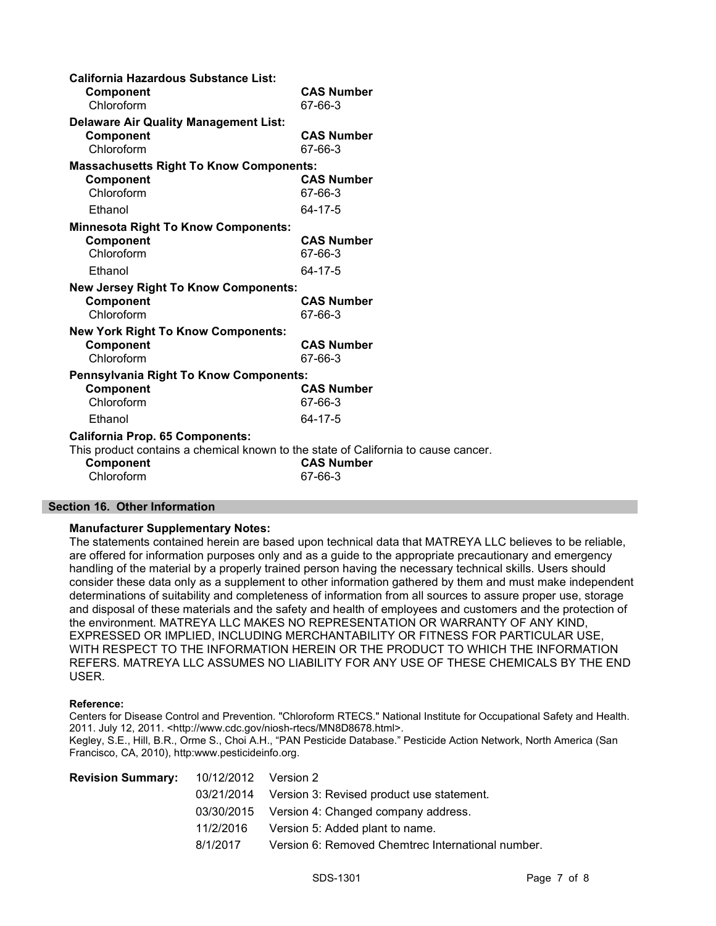| <b>California Hazardous Substance List:</b>                                        |                   |
|------------------------------------------------------------------------------------|-------------------|
| Component                                                                          | <b>CAS Number</b> |
| Chloroform                                                                         | 67-66-3           |
| <b>Delaware Air Quality Management List:</b>                                       |                   |
| Component                                                                          | <b>CAS Number</b> |
| Chloroform                                                                         | 67-66-3           |
| <b>Massachusetts Right To Know Components:</b>                                     |                   |
| Component                                                                          | <b>CAS Number</b> |
| Chloroform                                                                         | 67-66-3           |
| Ethanol                                                                            | 64-17-5           |
| <b>Minnesota Right To Know Components:</b>                                         |                   |
| Component                                                                          | <b>CAS Number</b> |
| Chloroform                                                                         | 67-66-3           |
| Ethanol                                                                            | 64-17-5           |
| <b>New Jersey Right To Know Components:</b>                                        |                   |
| Component                                                                          | <b>CAS Number</b> |
| Chloroform                                                                         | 67-66-3           |
| <b>New York Right To Know Components:</b>                                          |                   |
| Component                                                                          | <b>CAS Number</b> |
| Chloroform                                                                         | 67-66-3           |
| Pennsylvania Right To Know Components:                                             |                   |
| Component                                                                          | <b>CAS Number</b> |
| Chloroform                                                                         | 67-66-3           |
| Ethanol                                                                            | 64-17-5           |
| <b>California Prop. 65 Components:</b>                                             |                   |
| This product contains a chemical known to the state of California to cause cancer. |                   |
| Component                                                                          | <b>CAS Number</b> |
| Chloroform                                                                         | 67-66-3           |
|                                                                                    |                   |

#### Section 16. Other Information

#### Manufacturer Supplementary Notes:

The statements contained herein are based upon technical data that MATREYA LLC believes to be reliable, are offered for information purposes only and as a guide to the appropriate precautionary and emergency handling of the material by a properly trained person having the necessary technical skills. Users should consider these data only as a supplement to other information gathered by them and must make independent determinations of suitability and completeness of information from all sources to assure proper use, storage and disposal of these materials and the safety and health of employees and customers and the protection of the environment. MATREYA LLC MAKES NO REPRESENTATION OR WARRANTY OF ANY KIND, EXPRESSED OR IMPLIED, INCLUDING MERCHANTABILITY OR FITNESS FOR PARTICULAR USE, WITH RESPECT TO THE INFORMATION HEREIN OR THE PRODUCT TO WHICH THE INFORMATION REFERS. MATREYA LLC ASSUMES NO LIABILITY FOR ANY USE OF THESE CHEMICALS BY THE END USER.

#### Reference:

Centers for Disease Control and Prevention. "Chloroform RTECS." National Institute for Occupational Safety and Health. 2011. July 12, 2011. <http://www.cdc.gov/niosh-rtecs/MN8D8678.html>.

Kegley, S.E., Hill, B.R., Orme S., Choi A.H., "PAN Pesticide Database." Pesticide Action Network, North America (San Francisco, CA, 2010), http:www.pesticideinfo.org.

| <b>Revision Summary:</b> 10/12/2012 Version 2 |           |                                                      |
|-----------------------------------------------|-----------|------------------------------------------------------|
|                                               |           | 03/21/2014 Version 3: Revised product use statement. |
|                                               |           | 03/30/2015 Version 4: Changed company address.       |
|                                               | 11/2/2016 | Version 5: Added plant to name.                      |
|                                               | 8/1/2017  | Version 6: Removed Chemtrec International number.    |